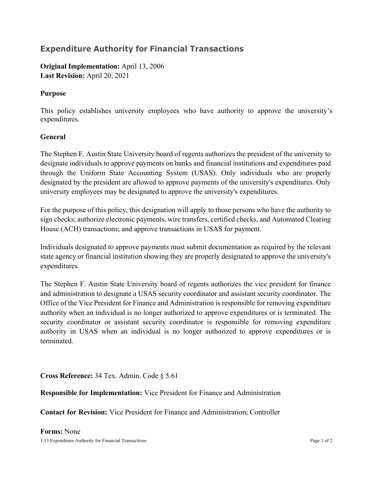## **Expenditure Authority for Financial Transactions**

**Original Implementation:** April 13, 2006 **Last Revision:** April 20, 2021

## **Purpose**

This policy establishes university employees who have authority to approve the university's expenditures.

## **General**

The Stephen F. Austin State University board of regents authorizes the president of the university to designate individuals to approve payments on banks and financial institutions and expenditures paid through the Uniform State Accounting System (USAS). Only individuals who are properly designated by the president are allowed to approve payments of the university's expenditures. Only university employees may be designated to approve the university's expenditures.

For the purpose of this policy, this designation will apply to those persons who have the authority to sign checks; authorize electronic payments, wire transfers, certified checks, and Automated Clearing House (ACH) transactions; and approve transactions in USAS for payment.

Individuals designated to approve payments must submit documentation as required by the relevant state agency or financial institution showing they are properly designated to approve the university's expenditures.

The Stephen F. Austin State University board of regents authorizes the vice president for finance and administration to designate a USAS security coordinator and assistant security coordinator. The Office of the Vice President for Finance and Administration is responsible for removing expenditure authority when an individual is no longer authorized to approve expenditures or is terminated. The security coordinator or assistant security coordinator is responsible for removing expenditure authority in USAS when an individual is no longer authorized to approve expenditures or is terminated.

**Cross Reference:** 34 Tex. Admin. Code § 5.61

**Responsible for Implementation:** Vice President for Finance and Administration

**Contact for Revision:** Vice President for Finance and Administration; Controller